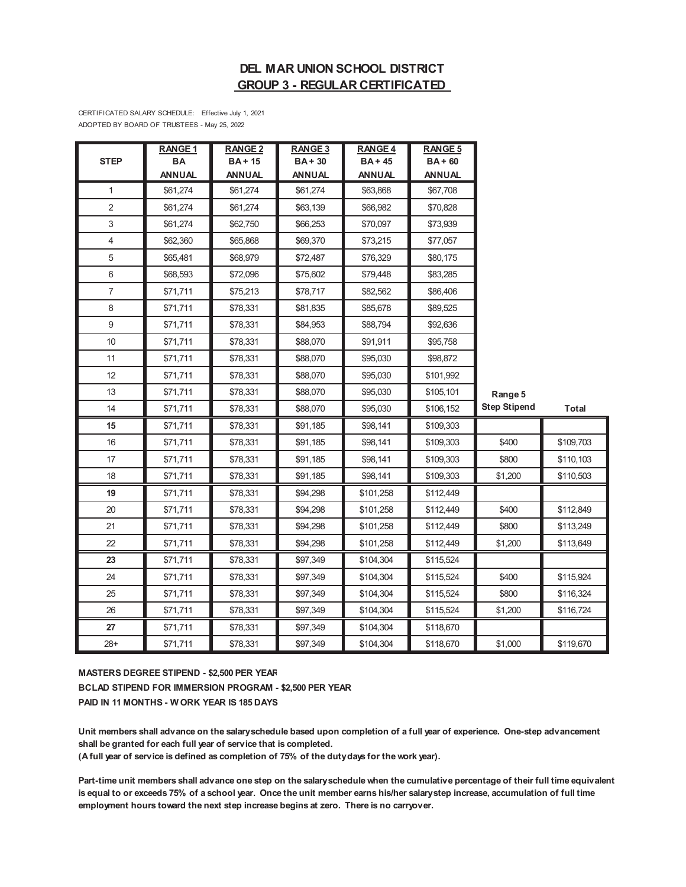# **DEL MAR UNION SCHOOL DISTRICT GROUP 3 - REGULAR CERTIFICATED**

CERTIFICATED SALARY SCHEDULE: Effective July 1, 2021 ADOPTED BY BOARD OF TRUSTEES - May 25, 2022

|                | RANGE <sub>1</sub> | <b>RANGE 2</b> | <b>RANGE 3</b> | <b>RANGE 4</b> | <b>RANGE 5</b> |                     |              |
|----------------|--------------------|----------------|----------------|----------------|----------------|---------------------|--------------|
| <b>STEP</b>    | BA                 | <b>BA+15</b>   | $BA + 30$      | $BA + 45$      | $BA + 60$      |                     |              |
|                | <b>ANNUAL</b>      | <b>ANNUAL</b>  | <b>ANNUAL</b>  | <b>ANNUAL</b>  | <b>ANNUAL</b>  |                     |              |
| $\mathbf{1}$   | \$61,274           | \$61,274       | \$61,274       | \$63,868       | \$67,708       |                     |              |
| $\overline{2}$ | \$61,274           | \$61,274       | \$63,139       | \$66,982       | \$70,828       |                     |              |
| 3              | \$61,274           | \$62,750       | \$66,253       | \$70,097       | \$73,939       |                     |              |
| 4              | \$62,360           | \$65,868       | \$69,370       | \$73,215       | \$77,057       |                     |              |
| 5              | \$65,481           | \$68,979       | \$72,487       | \$76,329       | \$80,175       |                     |              |
| 6              | \$68,593           | \$72,096       | \$75,602       | \$79,448       | \$83,285       |                     |              |
| $\overline{7}$ | \$71,711           | \$75,213       | \$78,717       | \$82,562       | \$86,406       |                     |              |
| 8              | \$71,711           | \$78,331       | \$81,835       | \$85,678       | \$89,525       |                     |              |
| 9              | \$71,711           | \$78,331       | \$84,953       | \$88,794       | \$92,636       |                     |              |
| 10             | \$71,711           | \$78,331       | \$88,070       | \$91,911       | \$95,758       |                     |              |
| 11             | \$71,711           | \$78,331       | \$88,070       | \$95,030       | \$98,872       |                     |              |
| 12             | \$71,711           | \$78,331       | \$88,070       | \$95,030       | \$101,992      |                     |              |
| 13             | \$71,711           | \$78,331       | \$88,070       | \$95,030       | \$105,101      | Range 5             |              |
| 14             | \$71,711           | \$78,331       | \$88,070       | \$95,030       | \$106,152      | <b>Step Stipend</b> | <b>Total</b> |
| 15             | \$71,711           | \$78,331       | \$91,185       | \$98,141       | \$109,303      |                     |              |
| 16             | \$71,711           | \$78,331       | \$91,185       | \$98,141       | \$109,303      | \$400               | \$109,703    |
| 17             | \$71,711           | \$78,331       | \$91,185       | \$98,141       | \$109,303      | \$800               | \$110,103    |
| 18             | \$71,711           | \$78,331       | \$91,185       | \$98,141       | \$109,303      | \$1,200             | \$110,503    |
| 19             | \$71,711           | \$78,331       | \$94,298       | \$101,258      | \$112,449      |                     |              |
| 20             | \$71,711           | \$78,331       | \$94,298       | \$101,258      | \$112,449      | \$400               | \$112,849    |
| 21             | \$71,711           | \$78,331       | \$94,298       | \$101,258      | \$112,449      | \$800               | \$113,249    |
| 22             | \$71,711           | \$78,331       | \$94,298       | \$101,258      | \$112,449      | \$1,200             | \$113,649    |
| 23             | \$71,711           | \$78,331       | \$97,349       | \$104,304      | \$115,524      |                     |              |
| 24             | \$71,711           | \$78,331       | \$97,349       | \$104,304      | \$115,524      | \$400               | \$115,924    |
| 25             | \$71,711           | \$78,331       | \$97,349       | \$104,304      | \$115,524      | \$800               | \$116,324    |
| 26             | \$71,711           | \$78,331       | \$97,349       | \$104,304      | \$115,524      | \$1,200             | \$116,724    |
| 27             | \$71,711           | \$78,331       | \$97,349       | \$104,304      | \$118,670      |                     |              |
| $28+$          | \$71,711           | \$78,331       | \$97,349       | \$104,304      | \$118,670      | \$1,000             | \$119,670    |

**MASTERS DEGREE STIPEND - \$2,500 PER YEAR**

**BCLAD STIPEND FOR IMMERSION PROGRAM - \$2,500 PER YEAR PAID IN 11 MONTHS - W ORK YEAR IS 185 DAYS**

**Unit members shall advance on the salary schedule based upon completion of a full year of experience. One-step advancement shall be granted for each full year of service that is completed.** 

**(A full year of service is defined as completion of 75% of the duty days for the work year).**

**Part-time unit members shall advance one step on the salary schedule when the cumulative percentage of their full time equivalent is equal to or exceeds 75% of a school year. Once the unit member earns his/her salary step increase, accumulation of full time employment hours toward the next step increase begins at zero. There is no carryover.**